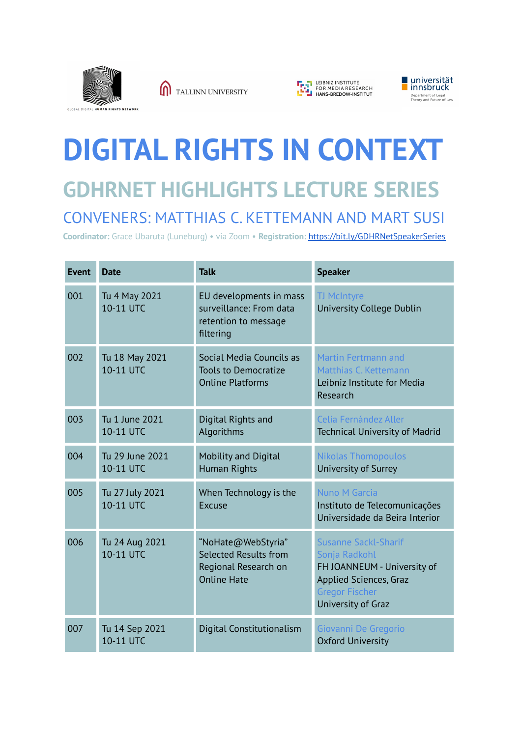

TALLINN UNIVERSITY





## **DIGITAL RIGHTS IN CONTEXT GDHRNET HIGHLIGHTS LECTURE SERIES** CONVENERS: MATTHIAS C. KETTEMANN AND MART SUSI

**Coordinator:** Grace Ubaruta (Luneburg) • via Zoom • **Registration:** <https://bit.ly/GDHRNetSpeakerSeries>

| <b>Event</b> | <b>Date</b>                  | <b>Talk</b>                                                                               | <b>Speaker</b>                                                                                                                                              |
|--------------|------------------------------|-------------------------------------------------------------------------------------------|-------------------------------------------------------------------------------------------------------------------------------------------------------------|
| 001          | Tu 4 May 2021<br>10-11 UTC   | EU developments in mass<br>surveillance: From data<br>retention to message<br>filtering   | <b>TJ McIntyre</b><br>University College Dublin                                                                                                             |
| 002          | Tu 18 May 2021<br>10-11 UTC  | Social Media Councils as<br><b>Tools to Democratize</b><br><b>Online Platforms</b>        | <b>Martin Fertmann and</b><br>Matthias C. Kettemann<br>Leibniz Institute for Media<br>Research                                                              |
| 003          | Tu 1 June 2021<br>10-11 UTC  | Digital Rights and<br>Algorithms                                                          | Celia Fernández Aller<br><b>Technical University of Madrid</b>                                                                                              |
| 004          | Tu 29 June 2021<br>10-11 UTC | <b>Mobility and Digital</b><br><b>Human Rights</b>                                        | <b>Nikolas Thomopoulos</b><br>University of Surrey                                                                                                          |
| 005          | Tu 27 July 2021<br>10-11 UTC | When Technology is the<br>Excuse                                                          | Nuno M Garcia<br>Instituto de Telecomunicações<br>Universidade da Beira Interior                                                                            |
| 006          | Tu 24 Aug 2021<br>10-11 UTC  | "NoHate@WebStyria"<br>Selected Results from<br>Regional Research on<br><b>Online Hate</b> | <b>Susanne Sackl-Sharif</b><br>Sonja Radkohl<br>FH JOANNEUM - University of<br><b>Applied Sciences, Graz</b><br><b>Gregor Fischer</b><br>University of Graz |
| 007          | Tu 14 Sep 2021<br>10-11 UTC  | Digital Constitutionalism                                                                 | Giovanni De Gregorio<br><b>Oxford University</b>                                                                                                            |